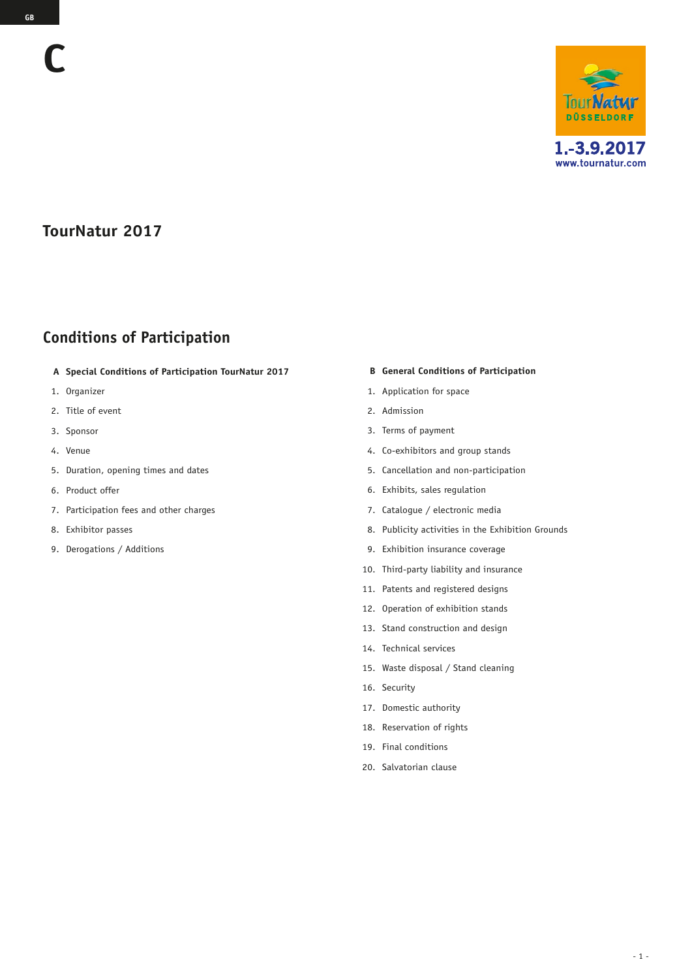## **TourNatur 2017**

# **Conditions of Participation**

- **A Special Conditions of Participation TourNatur 2017**
- 1. Organizer
- 2. Title of event
- 3. Sponsor
- 4. Venue
- 5. Duration, opening times and dates
- 6. Product offer
- 7. Participation fees and other charges
- 8. Exhibitor passes
- 9. Derogations / Additions

#### **B General Conditions of Participation**

- 1. Application for space
- 2. Admission
- 3. Terms of payment
- 4. Co-exhibitors and group stands
- 5. Cancellation and non-participation
- 6. Exhibits, sales regulation
- 7. Catalogue / electronic media
- 8. Publicity activities in the Exhibition Grounds
- 9. Exhibition insurance coverage
- 10. Third-party liability and insurance
- 11. Patents and registered designs
- 12. Operation of exhibition stands
- 13. Stand construction and design
- 14. Technical services
- 15. Waste disposal / Stand cleaning
- 16. Security
- 17. Domestic authority
- 18. Reservation of rights
- 19. Final conditions
- 20. Salvatorian clause

**C**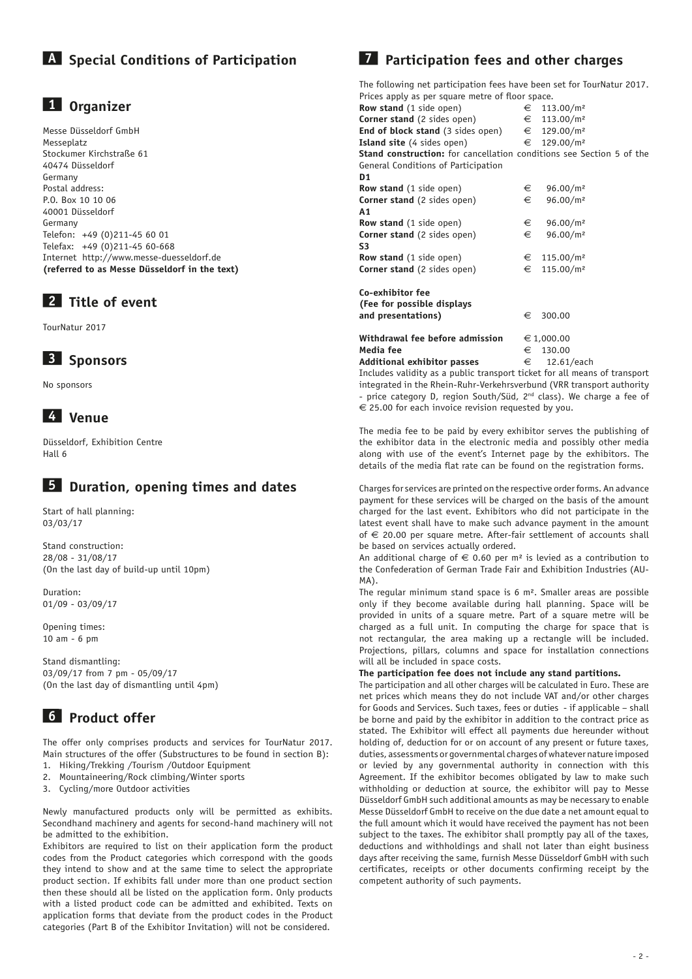## **A Special Conditions of Participation**

#### **1 Organizer**

Messe Düsseldorf GmbH Messeplatz Stockumer Kirchstraße 61 40474 Düsseldorf Germany Postal address: P.O. Box 10 10 06 40001 Düsseldorf Germany Telefon: +49 (0)211-45 60 01 Telefax: +49 (0)211-45 60-668 Internet http://www.messe-duesseldorf.de **(referred to as Messe Düsseldorf in the text)**

### **2 Title of event**

TourNatur 2017

#### **3 Sponsors**

No sponsors

## **4 Venue**

Düsseldorf, Exhibition Centre Hall 6

### **5 Duration, opening times and dates**

Start of hall planning: 03/03/17

Stand construction: 28/08 - 31/08/17 (On the last day of build-up until 10pm)

Duration: 01/09 - 03/09/17

Opening times: 10 am - 6 pm

Stand dismantling: 03/09/17 from 7 pm - 05/09/17 (On the last day of dismantling until 4pm)

# **6 Product offer**

The offer only comprises products and services for TourNatur 2017. Main structures of the offer (Substructures to be found in section B):

- 1. Hiking/Trekking /Tourism /Outdoor Equipment
- 2. Mountaineering/Rock climbing/Winter sports 3. Cycling/more Outdoor activities

Newly manufactured products only will be permitted as exhibits. Secondhand machinery and agents for second-hand machinery will not

be admitted to the exhibition. Exhibitors are required to list on their application form the product codes from the Product categories which correspond with the goods they intend to show and at the same time to select the appropriate product section. If exhibits fall under more than one product section then these should all be listed on the application form. Only products with a listed product code can be admitted and exhibited. Texts on application forms that deviate from the product codes in the Product categories (Part B of the Exhibitor Invitation) will not be considered.

## **7 Participation fees and other charges**

The following net participation fees have been set for TourNatur 2017. Prices apply as per square metre of floor space.

| ritices apply as per square inetite or itoor space.                         |            |                         |
|-----------------------------------------------------------------------------|------------|-------------------------|
| <b>Row stand</b> (1 side open)                                              |            | € 113.00/m <sup>2</sup> |
| <b>Corner stand</b> (2 sides open)                                          |            | € 113.00/m <sup>2</sup> |
| <b>End of block stand</b> (3 sides open)                                    |            | € 129.00/m <sup>2</sup> |
| <b>Island site</b> (4 sides open)                                           |            | € 129.00/m <sup>2</sup> |
| <b>Stand construction:</b> for cancellation conditions see Section 5 of the |            |                         |
| General Conditions of Participation                                         |            |                         |
| D <sub>1</sub>                                                              |            |                         |
| <b>Row stand</b> (1 side open)                                              | €          | 96.00/m <sup>2</sup>    |
| <b>Corner stand</b> (2 sides open)                                          | €          | 96.00/m <sup>2</sup>    |
| A1                                                                          |            |                         |
| <b>Row stand</b> (1 side open)                                              | €          | 96.00/m <sup>2</sup>    |
| <b>Corner stand</b> (2 sides open)                                          | €          | 96.00/m <sup>2</sup>    |
| S3                                                                          |            |                         |
| <b>Row stand</b> (1 side open)                                              |            | € 115.00/m <sup>2</sup> |
| <b>Corner stand</b> (2 sides open)                                          | €          | 115.00/m <sup>2</sup>   |
|                                                                             |            |                         |
| Co-exhibitor fee                                                            |            |                         |
| (Fee for possible displays                                                  |            |                         |
| and presentations)                                                          | €          | 300.00                  |
|                                                                             |            |                         |
| Withdrawal fee before admission                                             | € 1,000.00 |                         |
| Media fee                                                                   | €          | 130.00                  |
|                                                                             |            |                         |

**Additional exhibitor passes**  $\epsilon$  12.61/each Includes validity as a public transport ticket for all means of transport integrated in the Rhein-Ruhr-Verkehrsverbund (VRR transport authority - price category D, region South/Süd, 2<sup>nd</sup> class). We charge a fee of  $\epsilon$  25.00 for each invoice revision requested by you.

The media fee to be paid by every exhibitor serves the publishing of the exhibitor data in the electronic media and possibly other media along with use of the event's Internet page by the exhibitors. The details of the media flat rate can be found on the registration forms.

Charges for services are printed on the respective order forms. An advance payment for these services will be charged on the basis of the amount charged for the last event. Exhibitors who did not participate in the latest event shall have to make such advance payment in the amount of  $\epsilon$  20.00 per square metre. After-fair settlement of accounts shall be based on services actually ordered.

An additional charge of  $\epsilon$  0.60 per m<sup>2</sup> is levied as a contribution to the Confederation of German Trade Fair and Exhibition Industries (AU-MA).

The regular minimum stand space is 6 m². Smaller areas are possible only if they become available during hall planning. Space will be provided in units of a square metre. Part of a square metre will be charged as a full unit. In computing the charge for space that is not rectangular, the area making up a rectangle will be included. Projections, pillars, columns and space for installation connections will all be included in space costs.

#### **The participation fee does not include any stand partitions.**

The participation and all other charges will be calculated in Euro. These are net prices which means they do not include VAT and/or other charges for Goods and Services. Such taxes, fees or duties - if applicable – shall be borne and paid by the exhibitor in addition to the contract price as stated. The Exhibitor will effect all payments due hereunder without holding of, deduction for or on account of any present or future taxes, duties, assessments or governmental charges of whatever nature imposed or levied by any governmental authority in connection with this Agreement. If the exhibitor becomes obligated by law to make such withholding or deduction at source, the exhibitor will pay to Messe Düsseldorf GmbH such additional amounts as may be necessary to enable Messe Düsseldorf GmbH to receive on the due date a net amount equal to the full amount which it would have received the payment has not been subject to the taxes. The exhibitor shall promptly pay all of the taxes, deductions and withholdings and shall not later than eight business days after receiving the same, furnish Messe Düsseldorf GmbH with such certificates, receipts or other documents confirming receipt by the competent authority of such payments.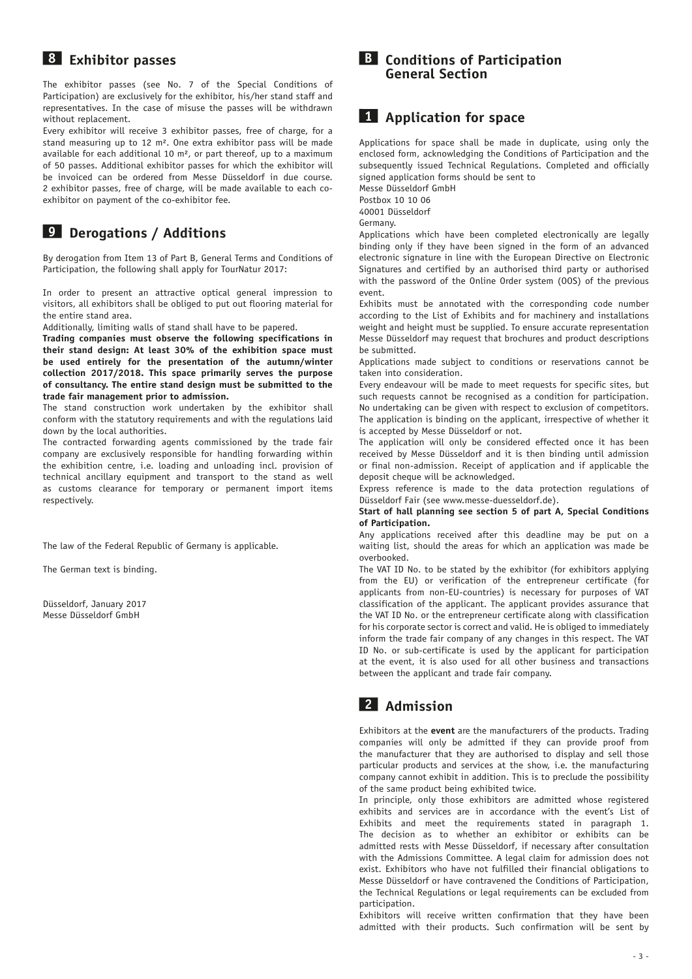#### **8 Exhibitor passes**

The exhibitor passes (see No. 7 of the Special Conditions of Participation) are exclusively for the exhibitor, his/her stand staff and representatives. In the case of misuse the passes will be withdrawn without replacement.

Every exhibitor will receive 3 exhibitor passes, free of charge, for a stand measuring up to 12 m². One extra exhibitor pass will be made available for each additional 10 m², or part thereof, up to a maximum of 50 passes. Additional exhibitor passes for which the exhibitor will be invoiced can be ordered from Messe Düsseldorf in due course. 2 exhibitor passes, free of charge, will be made available to each coexhibitor on payment of the co-exhibitor fee.

## **9 Derogations / Additions**

By derogation from Item 13 of Part B, General Terms and Conditions of Participation, the following shall apply for TourNatur 2017:

In order to present an attractive optical general impression to visitors, all exhibitors shall be obliged to put out flooring material for the entire stand area.

Additionally, limiting walls of stand shall have to be papered.

**Trading companies must observe the following specifications in their stand design: At least 30% of the exhibition space must be used entirely for the presentation of the autumn/winter collection 2017/2018. This space primarily serves the purpose of consultancy. The entire stand design must be submitted to the trade fair management prior to admission.**

The stand construction work undertaken by the exhibitor shall conform with the statutory requirements and with the regulations laid down by the local authorities.

The contracted forwarding agents commissioned by the trade fair company are exclusively responsible for handling forwarding within the exhibition centre, i.e. loading and unloading incl. provision of technical ancillary equipment and transport to the stand as well as customs clearance for temporary or permanent import items respectively.

The law of the Federal Republic of Germany is applicable.

The German text is binding.

Düsseldorf, January 2017 Messe Düsseldorf GmbH

#### **B Conditions of Participation General Section**

#### **1 Application for space**

Applications for space shall be made in duplicate, using only the enclosed form, acknowledging the Conditions of Participation and the subsequently issued Technical Regulations. Completed and officially signed application forms should be sent to

Messe Düsseldorf GmbH

Postbox 10 10 06 40001 Düsseldorf

Germany.

Applications which have been completed electronically are legally binding only if they have been signed in the form of an advanced electronic signature in line with the European Directive on Electronic Signatures and certified by an authorised third party or authorised with the password of the Online Order system (OOS) of the previous event.

Exhibits must be annotated with the corresponding code number according to the List of Exhibits and for machinery and installations weight and height must be supplied. To ensure accurate representation Messe Düsseldorf may request that brochures and product descriptions be submitted.

Applications made subject to conditions or reservations cannot be taken into consideration.

Every endeavour will be made to meet requests for specific sites, but such requests cannot be recognised as a condition for participation. No undertaking can be given with respect to exclusion of competitors. The application is binding on the applicant, irrespective of whether it is accepted by Messe Düsseldorf or not.

The application will only be considered effected once it has been received by Messe Düsseldorf and it is then binding until admission or final non-admission. Receipt of application and if applicable the deposit cheque will be acknowledged.

Express reference is made to the data protection regulations of Düsseldorf Fair (see www.messe-duesseldorf.de).

#### **Start of hall planning see section 5 of part A, Special Conditions of Participation.**

Any applications received after this deadline may be put on a waiting list, should the areas for which an application was made be overbooked.

The VAT ID No. to be stated by the exhibitor (for exhibitors applying from the EU) or verification of the entrepreneur certificate (for applicants from non-EU-countries) is necessary for purposes of VAT classification of the applicant. The applicant provides assurance that the VAT ID No. or the entrepreneur certificate along with classification for his corporate sector is correct and valid. He is obliged to immediately inform the trade fair company of any changes in this respect. The VAT ID No. or sub-certificate is used by the applicant for participation at the event, it is also used for all other business and transactions between the applicant and trade fair company.

## **2 Admission**

Exhibitors at the **event** are the manufacturers of the products. Trading companies will only be admitted if they can provide proof from the manufacturer that they are authorised to display and sell those particular products and services at the show, i.e. the manufacturing company cannot exhibit in addition. This is to preclude the possibility of the same product being exhibited twice.

In principle, only those exhibitors are admitted whose registered exhibits and services are in accordance with the event's List of Exhibits and meet the requirements stated in paragraph 1. The decision as to whether an exhibitor or exhibits can be admitted rests with Messe Düsseldorf, if necessary after consultation with the Admissions Committee. A legal claim for admission does not exist. Exhibitors who have not fulfilled their financial obligations to Messe Düsseldorf or have contravened the Conditions of Participation, the Technical Regulations or legal requirements can be excluded from participation.

Exhibitors will receive written confirmation that they have been admitted with their products. Such confirmation will be sent by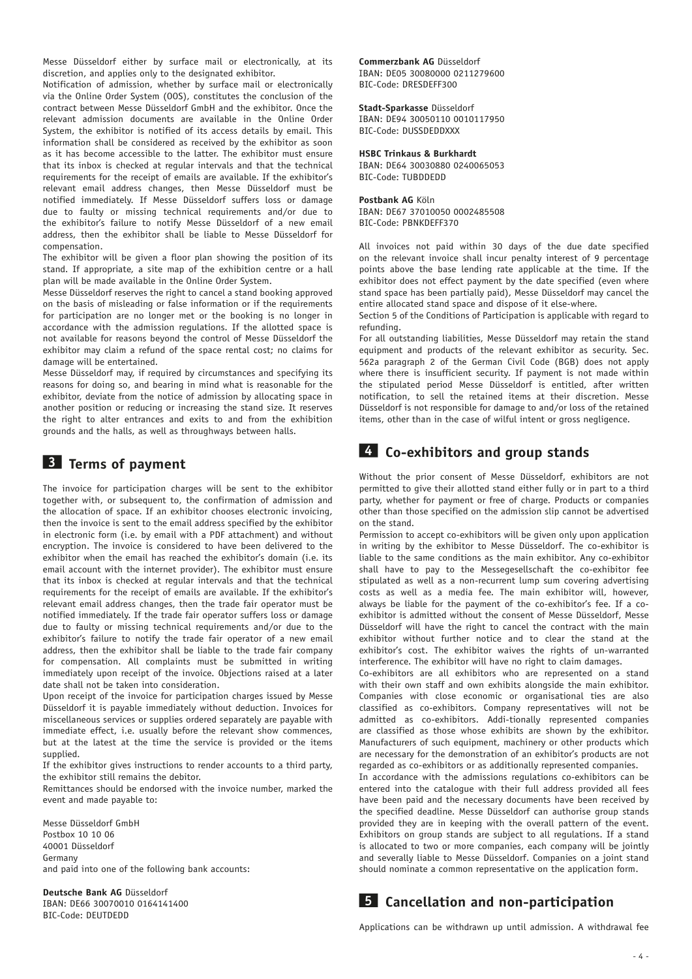Messe Düsseldorf either by surface mail or electronically, at its discretion, and applies only to the designated exhibitor.

Notification of admission, whether by surface mail or electronically via the Online Order System (OOS), constitutes the conclusion of the contract between Messe Düsseldorf GmbH and the exhibitor. Once the relevant admission documents are available in the Online Order System, the exhibitor is notified of its access details by email. This information shall be considered as received by the exhibitor as soon as it has become accessible to the latter. The exhibitor must ensure that its inbox is checked at regular intervals and that the technical requirements for the receipt of emails are available. If the exhibitor's relevant email address changes, then Messe Düsseldorf must be notified immediately. If Messe Düsseldorf suffers loss or damage due to faulty or missing technical requirements and/or due to the exhibitor's failure to notify Messe Düsseldorf of a new email address, then the exhibitor shall be liable to Messe Düsseldorf for compensation.

The exhibitor will be given a floor plan showing the position of its stand. If appropriate, a site map of the exhibition centre or a hall plan will be made available in the Online Order System.

Messe Düsseldorf reserves the right to cancel a stand booking approved on the basis of misleading or false information or if the requirements for participation are no longer met or the booking is no longer in accordance with the admission regulations. If the allotted space is not available for reasons beyond the control of Messe Düsseldorf the exhibitor may claim a refund of the space rental cost; no claims for damage will be entertained.

Messe Düsseldorf may, if required by circumstances and specifying its reasons for doing so, and bearing in mind what is reasonable for the exhibitor, deviate from the notice of admission by allocating space in another position or reducing or increasing the stand size. It reserves the right to alter entrances and exits to and from the exhibition grounds and the halls, as well as throughways between halls.

#### **3 Terms of payment**

The invoice for participation charges will be sent to the exhibitor together with, or subsequent to, the confirmation of admission and the allocation of space. If an exhibitor chooses electronic invoicing, then the invoice is sent to the email address specified by the exhibitor in electronic form (i.e. by email with a PDF attachment) and without encryption. The invoice is considered to have been delivered to the exhibitor when the email has reached the exhibitor's domain (i.e. its email account with the internet provider). The exhibitor must ensure that its inbox is checked at regular intervals and that the technical requirements for the receipt of emails are available. If the exhibitor's relevant email address changes, then the trade fair operator must be notified immediately. If the trade fair operator suffers loss or damage due to faulty or missing technical requirements and/or due to the exhibitor's failure to notify the trade fair operator of a new email address, then the exhibitor shall be liable to the trade fair company for compensation. All complaints must be submitted in writing immediately upon receipt of the invoice. Objections raised at a later date shall not be taken into consideration.

Upon receipt of the invoice for participation charges issued by Messe Düsseldorf it is payable immediately without deduction. Invoices for miscellaneous services or supplies ordered separately are payable with immediate effect, i.e. usually before the relevant show commences, but at the latest at the time the service is provided or the items supplied.

If the exhibitor gives instructions to render accounts to a third party, the exhibitor still remains the debitor.

Remittances should be endorsed with the invoice number, marked the event and made payable to:

Messe Düsseldorf GmbH Postbox 10 10 06 40001 Düsseldorf Germany and paid into one of the following bank accounts:

**Deutsche Bank AG** Düsseldorf IBAN: DE66 30070010 0164141400 BIC-Code: DEUTDEDD

**Commerzbank AG** Düsseldorf IBAN: DE05 30080000 0211279600 BIC-Code: DRESDEFF300

#### **Stadt-Sparkasse** Düsseldorf

IBAN: DE94 30050110 0010117950 BIC-Code: DUSSDEDDXXX

#### **HSBC Trinkaus & Burkhardt**

IBAN: DE64 30030880 0240065053 BIC-Code: TUBDDEDD

**Postbank AG** Köln IBAN: DE67 37010050 0002485508 BIC-Code: PBNKDEFF370

All invoices not paid within 30 days of the due date specified on the relevant invoice shall incur penalty interest of 9 percentage points above the base lending rate applicable at the time. If the exhibitor does not effect payment by the date specified (even where stand space has been partially paid), Messe Düsseldorf may cancel the entire allocated stand space and dispose of it else-where.

Section 5 of the Conditions of Participation is applicable with regard to refunding.

For all outstanding liabilities, Messe Düsseldorf may retain the stand equipment and products of the relevant exhibitor as security. Sec. 562a paragraph 2 of the German Civil Code (BGB) does not apply where there is insufficient security. If payment is not made within the stipulated period Messe Düsseldorf is entitled, after written notification, to sell the retained items at their discretion. Messe Düsseldorf is not responsible for damage to and/or loss of the retained items, other than in the case of wilful intent or gross negligence.

### **4 Co-exhibitors and group stands**

Without the prior consent of Messe Düsseldorf, exhibitors are not permitted to give their allotted stand either fully or in part to a third party, whether for payment or free of charge. Products or companies other than those specified on the admission slip cannot be advertised on the stand.

Permission to accept co-exhibitors will be given only upon application in writing by the exhibitor to Messe Düsseldorf. The co-exhibitor is liable to the same conditions as the main exhibitor. Any co-exhibitor shall have to pay to the Messegesellschaft the co-exhibitor fee stipulated as well as a non-recurrent lump sum covering advertising costs as well as a media fee. The main exhibitor will, however, always be liable for the payment of the co-exhibitor's fee. If a coexhibitor is admitted without the consent of Messe Düsseldorf, Messe Düsseldorf will have the right to cancel the contract with the main exhibitor without further notice and to clear the stand at the exhibitor's cost. The exhibitor waives the rights of un-warranted interference. The exhibitor will have no right to claim damages.

Co-exhibitors are all exhibitors who are represented on a stand with their own staff and own exhibits alongside the main exhibitor. Companies with close economic or organisational ties are also classified as co-exhibitors. Company representatives will not be admitted as co-exhibitors. Addi-tionally represented companies are classified as those whose exhibits are shown by the exhibitor. Manufacturers of such equipment, machinery or other products which are necessary for the demonstration of an exhibitor's products are not regarded as co-exhibitors or as additionally represented companies.

In accordance with the admissions regulations co-exhibitors can be entered into the catalogue with their full address provided all fees have been paid and the necessary documents have been received by the specified deadline. Messe Düsseldorf can authorise group stands provided they are in keeping with the overall pattern of the event. Exhibitors on group stands are subject to all regulations. If a stand is allocated to two or more companies, each company will be jointly and severally liable to Messe Düsseldorf. Companies on a joint stand should nominate a common representative on the application form.

## **5 Cancellation and non-participation**

Applications can be withdrawn up until admission. A withdrawal fee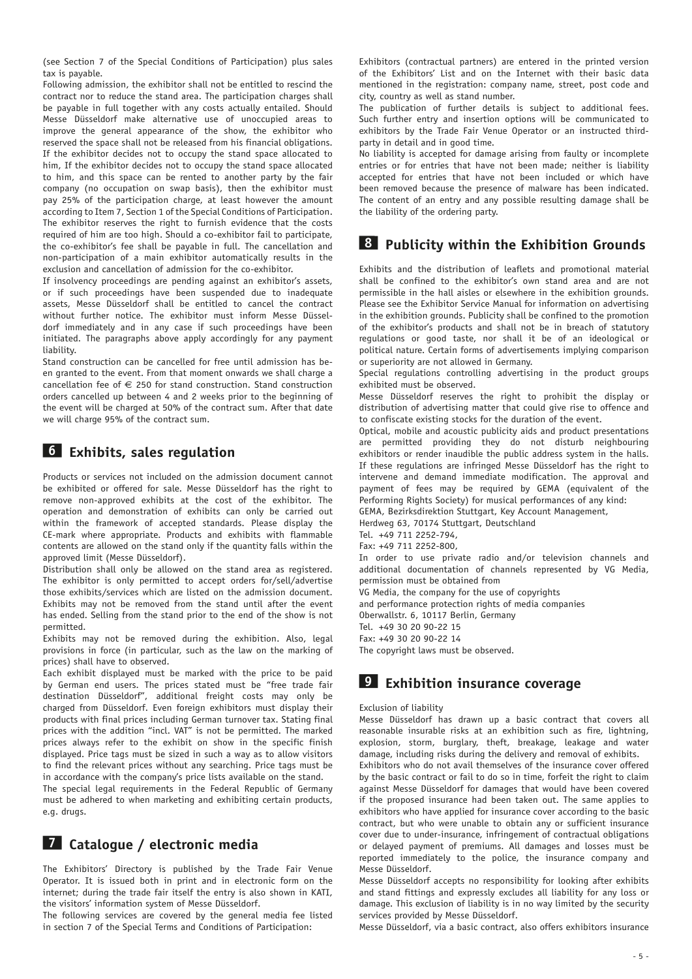(see Section 7 of the Special Conditions of Participation) plus sales tax is payable.

Following admission, the exhibitor shall not be entitled to rescind the contract nor to reduce the stand area. The participation charges shall be payable in full together with any costs actually entailed. Should Messe Düsseldorf make alternative use of unoccupied areas to improve the general appearance of the show, the exhibitor who reserved the space shall not be released from his financial obligations. If the exhibitor decides not to occupy the stand space allocated to him, If the exhibitor decides not to occupy the stand space allocated to him, and this space can be rented to another party by the fair company (no occupation on swap basis), then the exhibitor must pay 25% of the participation charge, at least however the amount according to Item 7, Section 1 of the Special Conditions of Participation. The exhibitor reserves the right to furnish evidence that the costs required of him are too high. Should a co-exhibitor fail to participate, the co-exhibitor's fee shall be payable in full. The cancellation and non-participation of a main exhibitor automatically results in the exclusion and cancellation of admission for the co-exhibitor.

If insolvency proceedings are pending against an exhibitor's assets, or if such proceedings have been suspended due to inadequate assets, Messe Düsseldorf shall be entitled to cancel the contract without further notice. The exhibitor must inform Messe Düsseldorf immediately and in any case if such proceedings have been initiated. The paragraphs above apply accordingly for any payment liability.

Stand construction can be cancelled for free until admission has been granted to the event. From that moment onwards we shall charge a cancellation fee of  $\epsilon$  250 for stand construction. Stand construction orders cancelled up between 4 and 2 weeks prior to the beginning of the event will be charged at 50% of the contract sum. After that date we will charge 95% of the contract sum.

#### **6 Exhibits, sales regulation**

Products or services not included on the admission document cannot be exhibited or offered for sale. Messe Düsseldorf has the right to remove non-approved exhibits at the cost of the exhibitor. The operation and demonstration of exhibits can only be carried out within the framework of accepted standards. Please display the CE-mark where appropriate. Products and exhibits with flammable contents are allowed on the stand only if the quantity falls within the approved limit (Messe Düsseldorf).

Distribution shall only be allowed on the stand area as registered. The exhibitor is only permitted to accept orders for/sell/advertise those exhibits/services which are listed on the admission document. Exhibits may not be removed from the stand until after the event has ended. Selling from the stand prior to the end of the show is not permitted.

Exhibits may not be removed during the exhibition. Also, legal provisions in force (in particular, such as the law on the marking of prices) shall have to observed.

Each exhibit displayed must be marked with the price to be paid by German end users. The prices stated must be "free trade fair destination Düsseldorf", additional freight costs may only be charged from Düsseldorf. Even foreign exhibitors must display their products with final prices including German turnover tax. Stating final prices with the addition "incl. VAT" is not be permitted. The marked prices always refer to the exhibit on show in the specific finish displayed. Price tags must be sized in such a way as to allow visitors to find the relevant prices without any searching. Price tags must be in accordance with the company's price lists available on the stand.

The special legal requirements in the Federal Republic of Germany must be adhered to when marketing and exhibiting certain products, e.g. drugs.

#### **7 Catalogue / electronic media**

The Exhibitors' Directory is published by the Trade Fair Venue Operator. It is issued both in print and in electronic form on the internet; during the trade fair itself the entry is also shown in KATI, the visitors' information system of Messe Düsseldorf.

The following services are covered by the general media fee listed in section 7 of the Special Terms and Conditions of Participation:

Exhibitors (contractual partners) are entered in the printed version of the Exhibitors' List and on the Internet with their basic data mentioned in the registration: company name, street, post code and city, country as well as stand number.

The publication of further details is subject to additional fees. Such further entry and insertion options will be communicated to exhibitors by the Trade Fair Venue Operator or an instructed thirdparty in detail and in good time.

No liability is accepted for damage arising from faulty or incomplete entries or for entries that have not been made; neither is liability accepted for entries that have not been included or which have been removed because the presence of malware has been indicated. The content of an entry and any possible resulting damage shall be the liability of the ordering party.

## **8 Publicity within the Exhibition Grounds**

Exhibits and the distribution of leaflets and promotional material shall be confined to the exhibitor's own stand area and are not permissible in the hall aisles or elsewhere in the exhibition grounds. Please see the Exhibitor Service Manual for information on advertising in the exhibition grounds. Publicity shall be confined to the promotion of the exhibitor's products and shall not be in breach of statutory regulations or good taste, nor shall it be of an ideological or political nature. Certain forms of advertisements implying comparison or superiority are not allowed in Germany.

Special regulations controlling advertising in the product groups exhibited must be observed.

Messe Düsseldorf reserves the right to prohibit the display or distribution of advertising matter that could give rise to offence and to confiscate existing stocks for the duration of the event.

Optical, mobile and acoustic publicity aids and product presentations are permitted providing they do not disturb neighbouring exhibitors or render inaudible the public address system in the halls. If these regulations are infringed Messe Düsseldorf has the right to intervene and demand immediate modification. The approval and payment of fees may be required by GEMA (equivalent of the Performing Rights Society) for musical performances of any kind:

GEMA, Bezirksdirektion Stuttgart, Key Account Management,

Herdweg 63, 70174 Stuttgart, Deutschland

Tel. +49 711 2252-794, Fax: +49 711 2252-800,

In order to use private radio and/or television channels and additional documentation of channels represented by VG Media, permission must be obtained from

VG Media, the company for the use of copyrights

and performance protection rights of media companies

Oberwallstr. 6, 10117 Berlin, Germany

Tel. +49 30 20 90-22 15

Fax: +49 30 20 90-22 14

The copyright laws must be observed.

#### **9 Exhibition insurance coverage**

#### Exclusion of liability

Messe Düsseldorf has drawn up a basic contract that covers all reasonable insurable risks at an exhibition such as fire, lightning, explosion, storm, burglary, theft, breakage, leakage and water damage, including risks during the delivery and removal of exhibits.

Exhibitors who do not avail themselves of the insurance cover offered by the basic contract or fail to do so in time, forfeit the right to claim against Messe Düsseldorf for damages that would have been covered if the proposed insurance had been taken out. The same applies to exhibitors who have applied for insurance cover according to the basic contract, but who were unable to obtain any or sufficient insurance cover due to under-insurance, infringement of contractual obligations or delayed payment of premiums. All damages and losses must be reported immediately to the police, the insurance company and Messe Düsseldorf.

Messe Düsseldorf accepts no responsibility for looking after exhibits and stand fittings and expressly excludes all liability for any loss or damage. This exclusion of liability is in no way limited by the security services provided by Messe Düsseldorf.

Messe Düsseldorf, via a basic contract, also offers exhibitors insurance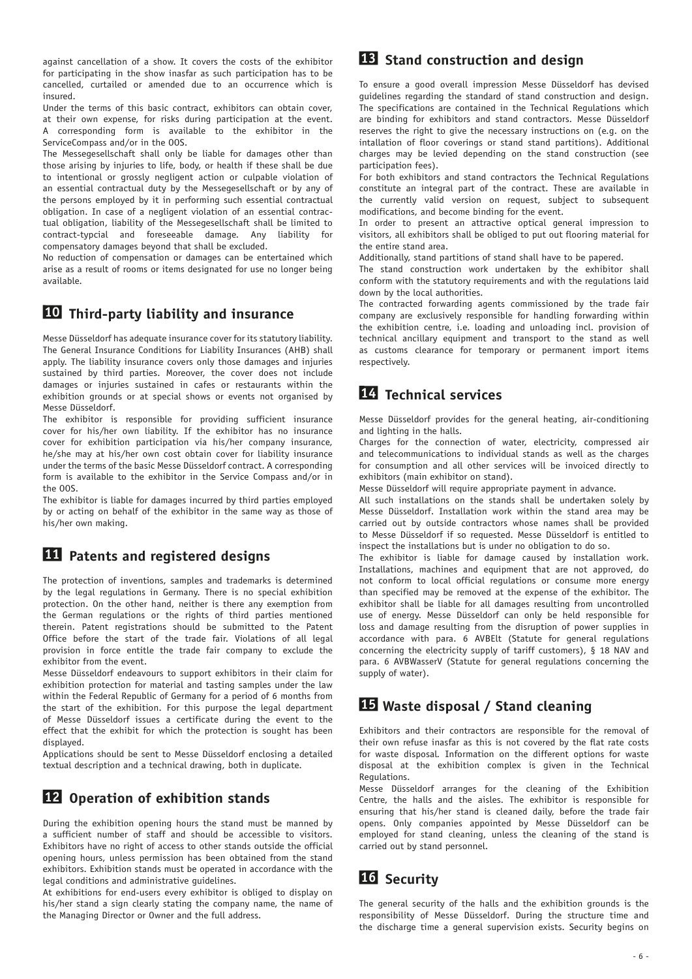against cancellation of a show. It covers the costs of the exhibitor for participating in the show inasfar as such participation has to be cancelled, curtailed or amended due to an occurrence which is insured.

Under the terms of this basic contract, exhibitors can obtain cover, at their own expense, for risks during participation at the event. A corresponding form is available to the exhibitor in the ServiceCompass and/or in the OOS.

The Messegesellschaft shall only be liable for damages other than those arising by injuries to life, body, or health if these shall be due to intentional or grossly negligent action or culpable violation of an essential contractual duty by the Messegesellschaft or by any of the persons employed by it in performing such essential contractual obligation. In case of a negligent violation of an essential contractual obligation, liability of the Messegesellschaft shall be limited to contract-typcial and foreseeable damage. Any liability for compensatory damages beyond that shall be excluded.

No reduction of compensation or damages can be entertained which arise as a result of rooms or items designated for use no longer being available.

#### **10 Third-party liability and insurance**

Messe Düsseldorf has adequate insurance cover for its statutory liability. The General Insurance Conditions for Liability Insurances (AHB) shall apply. The liability insurance covers only those damages and injuries sustained by third parties. Moreover, the cover does not include damages or injuries sustained in cafes or restaurants within the exhibition grounds or at special shows or events not organised by Messe Düsseldorf.

The exhibitor is responsible for providing sufficient insurance cover for his/her own liability. If the exhibitor has no insurance cover for exhibition participation via his/her company insurance, he/she may at his/her own cost obtain cover for liability insurance under the terms of the basic Messe Düsseldorf contract. A corresponding form is available to the exhibitor in the Service Compass and/or in the OOS.

The exhibitor is liable for damages incurred by third parties employed by or acting on behalf of the exhibitor in the same way as those of his/her own making.

### **11 Patents and registered designs**

The protection of inventions, samples and trademarks is determined by the legal regulations in Germany. There is no special exhibition protection. On the other hand, neither is there any exemption from the German regulations or the rights of third parties mentioned therein. Patent registrations should be submitted to the Patent Office before the start of the trade fair. Violations of all legal provision in force entitle the trade fair company to exclude the exhibitor from the event.

Messe Düsseldorf endeavours to support exhibitors in their claim for exhibition protection for material and tasting samples under the law within the Federal Republic of Germany for a period of 6 months from the start of the exhibition. For this purpose the legal department of Messe Düsseldorf issues a certificate during the event to the effect that the exhibit for which the protection is sought has been displayed.

Applications should be sent to Messe Düsseldorf enclosing a detailed textual description and a technical drawing, both in duplicate.

## **12 Operation of exhibition stands**

During the exhibition opening hours the stand must be manned by a sufficient number of staff and should be accessible to visitors. Exhibitors have no right of access to other stands outside the official opening hours, unless permission has been obtained from the stand exhibitors. Exhibition stands must be operated in accordance with the legal conditions and administrative guidelines.

At exhibitions for end-users every exhibitor is obliged to display on his/her stand a sign clearly stating the company name, the name of the Managing Director or Owner and the full address.

### **13 Stand construction and design**

To ensure a good overall impression Messe Düsseldorf has devised guidelines regarding the standard of stand construction and design. The specifications are contained in the Technical Regulations which are binding for exhibitors and stand contractors. Messe Düsseldorf reserves the right to give the necessary instructions on (e.g. on the intallation of floor coverings or stand stand partitions). Additional charges may be levied depending on the stand construction (see participation fees).

For both exhibitors and stand contractors the Technical Regulations constitute an integral part of the contract. These are available in the currently valid version on request, subject to subsequent modifications, and become binding for the event.

In order to present an attractive optical general impression to visitors, all exhibitors shall be obliged to put out flooring material for the entire stand area.

Additionally, stand partitions of stand shall have to be papered.

The stand construction work undertaken by the exhibitor shall conform with the statutory requirements and with the regulations laid down by the local authorities.

The contracted forwarding agents commissioned by the trade fair company are exclusively responsible for handling forwarding within the exhibition centre, i.e. loading and unloading incl. provision of technical ancillary equipment and transport to the stand as well as customs clearance for temporary or permanent import items respectively.

### **14 Technical services**

Messe Düsseldorf provides for the general heating, air-conditioning and lighting in the halls.

Charges for the connection of water, electricity, compressed air and telecommunications to individual stands as well as the charges for consumption and all other services will be invoiced directly to exhibitors (main exhibitor on stand).

Messe Düsseldorf will require appropriate payment in advance.

All such installations on the stands shall be undertaken solely by Messe Düsseldorf. Installation work within the stand area may be carried out by outside contractors whose names shall be provided to Messe Düsseldorf if so requested. Messe Düsseldorf is entitled to inspect the installations but is under no obligation to do so.

The exhibitor is liable for damage caused by installation work. Installations, machines and equipment that are not approved, do not conform to local official regulations or consume more energy than specified may be removed at the expense of the exhibitor. The exhibitor shall be liable for all damages resulting from uncontrolled use of energy. Messe Düsseldorf can only be held responsible for loss and damage resulting from the disruption of power supplies in accordance with para. 6 AVBElt (Statute for general regulations concerning the electricity supply of tariff customers), § 18 NAV and para. 6 AVBWasserV (Statute for general regulations concerning the supply of water).

### **15 Waste disposal / Stand cleaning**

Exhibitors and their contractors are responsible for the removal of their own refuse inasfar as this is not covered by the flat rate costs for waste disposal*.* Information on the different options for waste disposal at the exhibition complex is given in the Technical Regulations.

Messe Düsseldorf arranges for the cleaning of the Exhibition Centre, the halls and the aisles. The exhibitor is responsible for ensuring that his/her stand is cleaned daily, before the trade fair opens. Only companies appointed by Messe Düsseldorf can be employed for stand cleaning, unless the cleaning of the stand is carried out by stand personnel.

## **16 Security**

The general security of the halls and the exhibition grounds is the responsibility of Messe Düsseldorf. During the structure time and the discharge time a general supervision exists. Security begins on